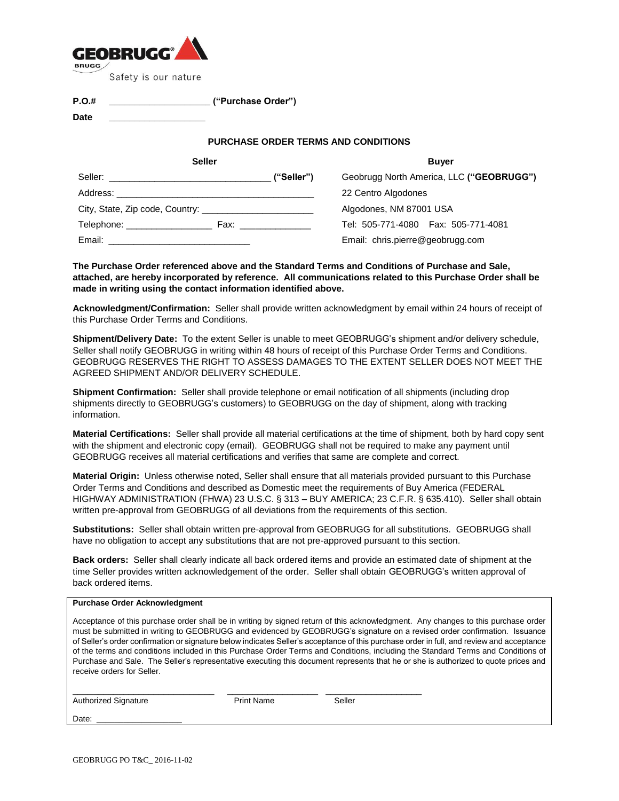

**P.O.# \_\_\_\_\_\_\_\_\_\_\_\_\_\_\_\_\_\_\_\_ ("Purchase Order")**

**Date \_\_\_\_\_\_\_\_\_\_\_\_\_\_\_\_\_\_\_**

#### **PURCHASE ORDER TERMS AND CONDITIONS**

| <b>Seller</b>                                            |            | <b>Buver</b>                             |  |
|----------------------------------------------------------|------------|------------------------------------------|--|
|                                                          | ("Seller") | Geobrugg North America, LLC ("GEOBRUGG") |  |
|                                                          |            | 22 Centro Algodones                      |  |
|                                                          |            | Algodones, NM 87001 USA                  |  |
| Telephone: ____________________<br>Fax: ________________ |            | Tel: 505-771-4080  Fax: 505-771-4081     |  |
| Email:                                                   |            | Email: chris.pierre@geobrugg.com         |  |

**The Purchase Order referenced above and the Standard Terms and Conditions of Purchase and Sale, attached, are hereby incorporated by reference. All communications related to this Purchase Order shall be made in writing using the contact information identified above.**

**Acknowledgment/Confirmation:** Seller shall provide written acknowledgment by email within 24 hours of receipt of this Purchase Order Terms and Conditions.

**Shipment/Delivery Date:** To the extent Seller is unable to meet GEOBRUGG's shipment and/or delivery schedule, Seller shall notify GEOBRUGG in writing within 48 hours of receipt of this Purchase Order Terms and Conditions. GEOBRUGG RESERVES THE RIGHT TO ASSESS DAMAGES TO THE EXTENT SELLER DOES NOT MEET THE AGREED SHIPMENT AND/OR DELIVERY SCHEDULE.

**Shipment Confirmation:** Seller shall provide telephone or email notification of all shipments (including drop shipments directly to GEOBRUGG's customers) to GEOBRUGG on the day of shipment, along with tracking information.

**Material Certifications:** Seller shall provide all material certifications at the time of shipment, both by hard copy sent with the shipment and electronic copy (email). GEOBRUGG shall not be required to make any payment until GEOBRUGG receives all material certifications and verifies that same are complete and correct.

**Material Origin:** Unless otherwise noted, Seller shall ensure that all materials provided pursuant to this Purchase Order Terms and Conditions and described as Domestic meet the requirements of Buy America (FEDERAL HIGHWAY ADMINISTRATION (FHWA) 23 U.S.C. § 313 – BUY AMERICA; 23 C.F.R. § 635.410). Seller shall obtain written pre-approval from GEOBRUGG of all deviations from the requirements of this section.

**Substitutions:** Seller shall obtain written pre-approval from GEOBRUGG for all substitutions. GEOBRUGG shall have no obligation to accept any substitutions that are not pre-approved pursuant to this section.

**Back orders:** Seller shall clearly indicate all back ordered items and provide an estimated date of shipment at the time Seller provides written acknowledgement of the order. Seller shall obtain GEOBRUGG's written approval of back ordered items.

#### **Purchase Order Acknowledgment**

Acceptance of this purchase order shall be in writing by signed return of this acknowledgment. Any changes to this purchase order must be submitted in writing to GEOBRUGG and evidenced by GEOBRUGG's signature on a revised order confirmation. Issuance of Seller's order confirmation or signature below indicates Seller's acceptance of this purchase order in full, and review and acceptance of the terms and conditions included in this Purchase Order Terms and Conditions, including the Standard Terms and Conditions of Purchase and Sale. The Seller's representative executing this document represents that he or she is authorized to quote prices and receive orders for Seller.

| <b>Authorized Signature</b> | <b>Print Name</b> | Seller |  |
|-----------------------------|-------------------|--------|--|
| Date:                       |                   |        |  |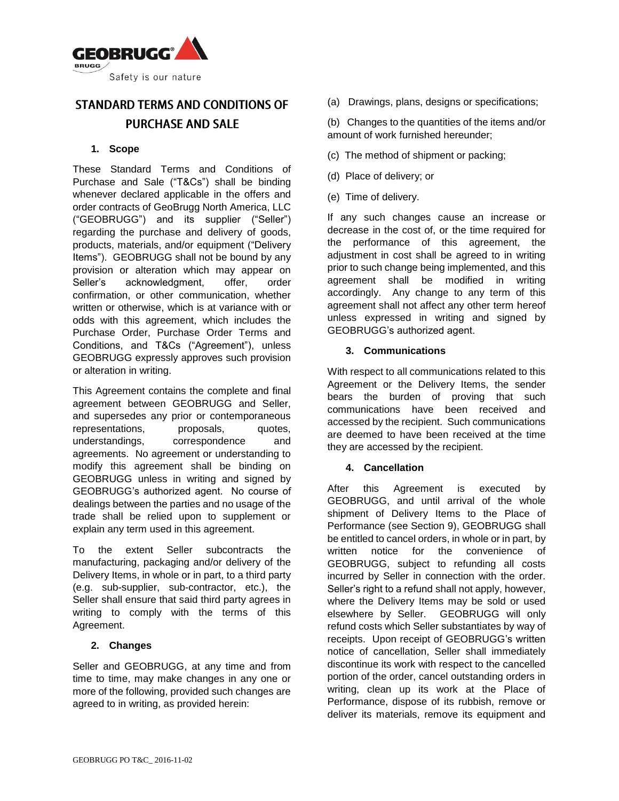

# STANDARD TERMS AND CONDITIONS OF **PURCHASE AND SALE**

# **1. Scope**

These Standard Terms and Conditions of Purchase and Sale ("T&Cs") shall be binding whenever declared applicable in the offers and order contracts of GeoBrugg North America, LLC ("GEOBRUGG") and its supplier ("Seller") regarding the purchase and delivery of goods, products, materials, and/or equipment ("Delivery Items"). GEOBRUGG shall not be bound by any provision or alteration which may appear on Seller's acknowledgment, offer, order confirmation, or other communication, whether written or otherwise, which is at variance with or odds with this agreement, which includes the Purchase Order, Purchase Order Terms and Conditions, and T&Cs ("Agreement"), unless GEOBRUGG expressly approves such provision or alteration in writing.

This Agreement contains the complete and final agreement between GEOBRUGG and Seller, and supersedes any prior or contemporaneous representations, proposals, quotes, understandings, correspondence and agreements. No agreement or understanding to modify this agreement shall be binding on GEOBRUGG unless in writing and signed by GEOBRUGG's authorized agent. No course of dealings between the parties and no usage of the trade shall be relied upon to supplement or explain any term used in this agreement.

To the extent Seller subcontracts the manufacturing, packaging and/or delivery of the Delivery Items, in whole or in part, to a third party (e.g. sub-supplier, sub-contractor, etc.), the Seller shall ensure that said third party agrees in writing to comply with the terms of this Agreement.

# **2. Changes**

Seller and GEOBRUGG, at any time and from time to time, may make changes in any one or more of the following, provided such changes are agreed to in writing, as provided herein:

(a) Drawings, plans, designs or specifications;

(b) Changes to the quantities of the items and/or amount of work furnished hereunder;

- (c) The method of shipment or packing;
- (d) Place of delivery; or
- (e) Time of delivery.

If any such changes cause an increase or decrease in the cost of, or the time required for the performance of this agreement, the adjustment in cost shall be agreed to in writing prior to such change being implemented, and this agreement shall be modified in writing accordingly. Any change to any term of this agreement shall not affect any other term hereof unless expressed in writing and signed by GEOBRUGG's authorized agent.

## **3. Communications**

With respect to all communications related to this Agreement or the Delivery Items, the sender bears the burden of proving that such communications have been received and accessed by the recipient. Such communications are deemed to have been received at the time they are accessed by the recipient.

# **4. Cancellation**

After this Agreement is executed by GEOBRUGG, and until arrival of the whole shipment of Delivery Items to the Place of Performance (see Section 9), GEOBRUGG shall be entitled to cancel orders, in whole or in part, by written notice for the convenience of GEOBRUGG, subject to refunding all costs incurred by Seller in connection with the order. Seller's right to a refund shall not apply, however, where the Delivery Items may be sold or used elsewhere by Seller. GEOBRUGG will only refund costs which Seller substantiates by way of receipts. Upon receipt of GEOBRUGG's written notice of cancellation, Seller shall immediately discontinue its work with respect to the cancelled portion of the order, cancel outstanding orders in writing, clean up its work at the Place of Performance, dispose of its rubbish, remove or deliver its materials, remove its equipment and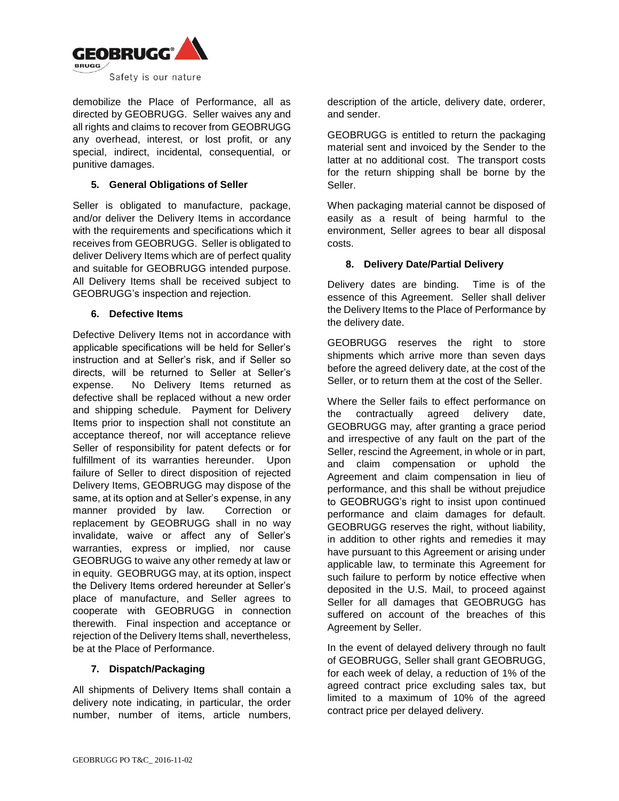

demobilize the Place of Performance, all as directed by GEOBRUGG. Seller waives any and all rights and claims to recover from GEOBRUGG any overhead, interest, or lost profit, or any special, indirect, incidental, consequential, or punitive damages.

## **5. General Obligations of Seller**

Seller is obligated to manufacture, package, and/or deliver the Delivery Items in accordance with the requirements and specifications which it receives from GEOBRUGG. Seller is obligated to deliver Delivery Items which are of perfect quality and suitable for GEOBRUGG intended purpose. All Delivery Items shall be received subject to GEOBRUGG's inspection and rejection.

## **6. Defective Items**

Defective Delivery Items not in accordance with applicable specifications will be held for Seller's instruction and at Seller's risk, and if Seller so directs, will be returned to Seller at Seller's expense. No Delivery Items returned as defective shall be replaced without a new order and shipping schedule. Payment for Delivery Items prior to inspection shall not constitute an acceptance thereof, nor will acceptance relieve Seller of responsibility for patent defects or for fulfillment of its warranties hereunder. Upon failure of Seller to direct disposition of rejected Delivery Items, GEOBRUGG may dispose of the same, at its option and at Seller's expense, in any manner provided by law. Correction or replacement by GEOBRUGG shall in no way invalidate, waive or affect any of Seller's warranties, express or implied, nor cause GEOBRUGG to waive any other remedy at law or in equity. GEOBRUGG may, at its option, inspect the Delivery Items ordered hereunder at Seller's place of manufacture, and Seller agrees to cooperate with GEOBRUGG in connection therewith. Final inspection and acceptance or rejection of the Delivery Items shall, nevertheless, be at the Place of Performance.

# **7. Dispatch/Packaging**

All shipments of Delivery Items shall contain a delivery note indicating, in particular, the order number, number of items, article numbers,

description of the article, delivery date, orderer, and sender.

GEOBRUGG is entitled to return the packaging material sent and invoiced by the Sender to the latter at no additional cost. The transport costs for the return shipping shall be borne by the Seller.

When packaging material cannot be disposed of easily as a result of being harmful to the environment, Seller agrees to bear all disposal costs.

## **8. Delivery Date/Partial Delivery**

Delivery dates are binding. Time is of the essence of this Agreement. Seller shall deliver the Delivery Items to the Place of Performance by the delivery date.

GEOBRUGG reserves the right to store shipments which arrive more than seven days before the agreed delivery date, at the cost of the Seller, or to return them at the cost of the Seller.

Where the Seller fails to effect performance on the contractually agreed delivery date, GEOBRUGG may, after granting a grace period and irrespective of any fault on the part of the Seller, rescind the Agreement, in whole or in part, and claim compensation or uphold the Agreement and claim compensation in lieu of performance, and this shall be without prejudice to GEOBRUGG's right to insist upon continued performance and claim damages for default. GEOBRUGG reserves the right, without liability, in addition to other rights and remedies it may have pursuant to this Agreement or arising under applicable law, to terminate this Agreement for such failure to perform by notice effective when deposited in the U.S. Mail, to proceed against Seller for all damages that GEOBRUGG has suffered on account of the breaches of this Agreement by Seller.

In the event of delayed delivery through no fault of GEOBRUGG, Seller shall grant GEOBRUGG, for each week of delay, a reduction of 1% of the agreed contract price excluding sales tax, but limited to a maximum of 10% of the agreed contract price per delayed delivery.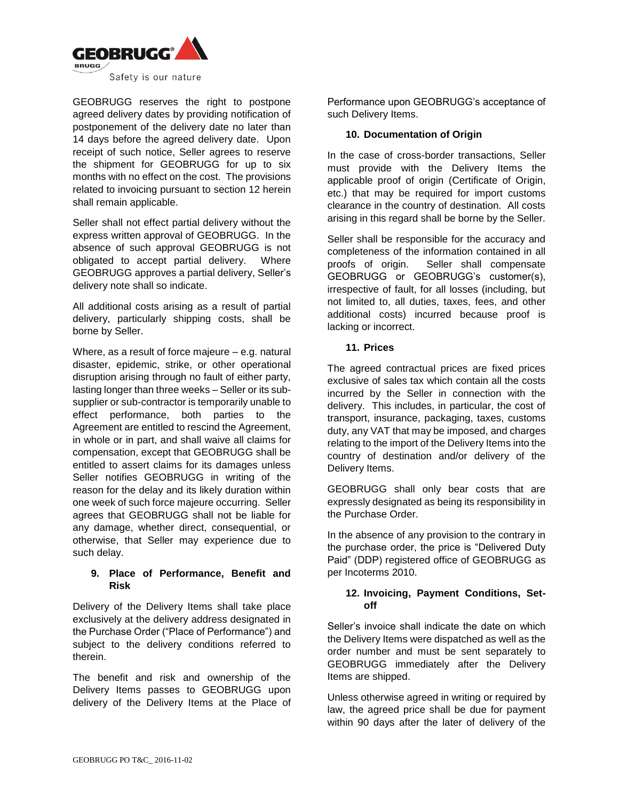

GEOBRUGG reserves the right to postpone agreed delivery dates by providing notification of postponement of the delivery date no later than 14 days before the agreed delivery date. Upon receipt of such notice, Seller agrees to reserve the shipment for GEOBRUGG for up to six months with no effect on the cost. The provisions related to invoicing pursuant to section 12 herein shall remain applicable.

Seller shall not effect partial delivery without the express written approval of GEOBRUGG. In the absence of such approval GEOBRUGG is not obligated to accept partial delivery. Where GEOBRUGG approves a partial delivery, Seller's delivery note shall so indicate.

All additional costs arising as a result of partial delivery, particularly shipping costs, shall be borne by Seller.

Where, as a result of force majeure – e.g. natural disaster, epidemic, strike, or other operational disruption arising through no fault of either party, lasting longer than three weeks – Seller or its subsupplier or sub-contractor is temporarily unable to effect performance, both parties to the Agreement are entitled to rescind the Agreement, in whole or in part, and shall waive all claims for compensation, except that GEOBRUGG shall be entitled to assert claims for its damages unless Seller notifies GEOBRUGG in writing of the reason for the delay and its likely duration within one week of such force majeure occurring. Seller agrees that GEOBRUGG shall not be liable for any damage, whether direct, consequential, or otherwise, that Seller may experience due to such delay.

# **9. Place of Performance, Benefit and Risk**

Delivery of the Delivery Items shall take place exclusively at the delivery address designated in the Purchase Order ("Place of Performance") and subject to the delivery conditions referred to therein.

The benefit and risk and ownership of the Delivery Items passes to GEOBRUGG upon delivery of the Delivery Items at the Place of Performance upon GEOBRUGG's acceptance of such Delivery Items.

## **10. Documentation of Origin**

In the case of cross-border transactions, Seller must provide with the Delivery Items the applicable proof of origin (Certificate of Origin, etc.) that may be required for import customs clearance in the country of destination. All costs arising in this regard shall be borne by the Seller.

Seller shall be responsible for the accuracy and completeness of the information contained in all proofs of origin. Seller shall compensate GEOBRUGG or GEOBRUGG's customer(s), irrespective of fault, for all losses (including, but not limited to, all duties, taxes, fees, and other additional costs) incurred because proof is lacking or incorrect.

## **11. Prices**

The agreed contractual prices are fixed prices exclusive of sales tax which contain all the costs incurred by the Seller in connection with the delivery. This includes, in particular, the cost of transport, insurance, packaging, taxes, customs duty, any VAT that may be imposed, and charges relating to the import of the Delivery Items into the country of destination and/or delivery of the Delivery Items.

GEOBRUGG shall only bear costs that are expressly designated as being its responsibility in the Purchase Order.

In the absence of any provision to the contrary in the purchase order, the price is "Delivered Duty Paid" (DDP) registered office of GEOBRUGG as per Incoterms 2010.

## **12. Invoicing, Payment Conditions, Setoff**

Seller's invoice shall indicate the date on which the Delivery Items were dispatched as well as the order number and must be sent separately to GEOBRUGG immediately after the Delivery Items are shipped.

Unless otherwise agreed in writing or required by law, the agreed price shall be due for payment within 90 days after the later of delivery of the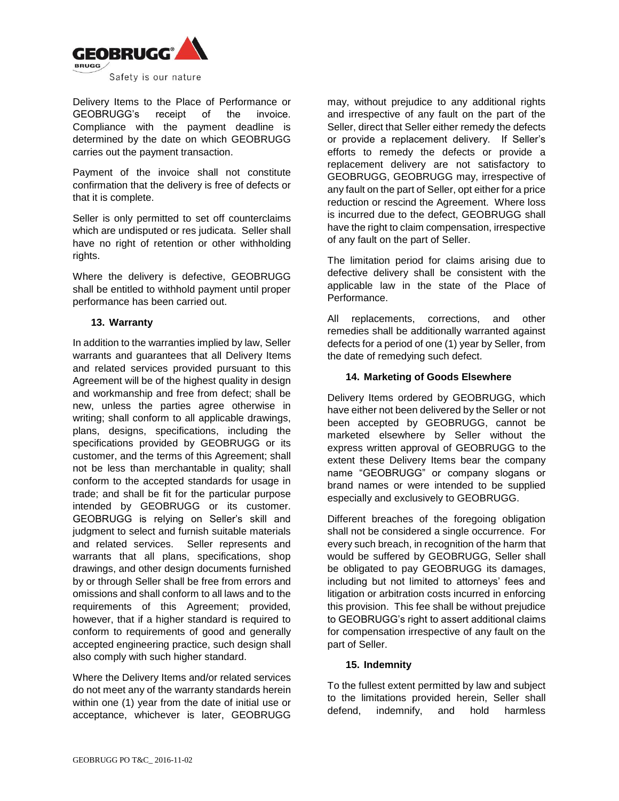

Delivery Items to the Place of Performance or GEOBRUGG's receipt of the invoice. Compliance with the payment deadline is determined by the date on which GEOBRUGG carries out the payment transaction.

Payment of the invoice shall not constitute confirmation that the delivery is free of defects or that it is complete.

Seller is only permitted to set off counterclaims which are undisputed or res judicata. Seller shall have no right of retention or other withholding rights.

Where the delivery is defective, GEOBRUGG shall be entitled to withhold payment until proper performance has been carried out.

# **13. Warranty**

In addition to the warranties implied by law, Seller warrants and guarantees that all Delivery Items and related services provided pursuant to this Agreement will be of the highest quality in design and workmanship and free from defect; shall be new, unless the parties agree otherwise in writing; shall conform to all applicable drawings, plans, designs, specifications, including the specifications provided by GEOBRUGG or its customer, and the terms of this Agreement; shall not be less than merchantable in quality; shall conform to the accepted standards for usage in trade; and shall be fit for the particular purpose intended by GEOBRUGG or its customer. GEOBRUGG is relying on Seller's skill and judgment to select and furnish suitable materials and related services. Seller represents and warrants that all plans, specifications, shop drawings, and other design documents furnished by or through Seller shall be free from errors and omissions and shall conform to all laws and to the requirements of this Agreement; provided, however, that if a higher standard is required to conform to requirements of good and generally accepted engineering practice, such design shall also comply with such higher standard.

Where the Delivery Items and/or related services do not meet any of the warranty standards herein within one (1) year from the date of initial use or acceptance, whichever is later, GEOBRUGG

may, without prejudice to any additional rights and irrespective of any fault on the part of the Seller, direct that Seller either remedy the defects or provide a replacement delivery. If Seller's efforts to remedy the defects or provide a replacement delivery are not satisfactory to GEOBRUGG, GEOBRUGG may, irrespective of any fault on the part of Seller, opt either for a price reduction or rescind the Agreement. Where loss is incurred due to the defect, GEOBRUGG shall have the right to claim compensation, irrespective of any fault on the part of Seller.

The limitation period for claims arising due to defective delivery shall be consistent with the applicable law in the state of the Place of Performance.

All replacements, corrections, and other remedies shall be additionally warranted against defects for a period of one (1) year by Seller, from the date of remedying such defect.

## **14. Marketing of Goods Elsewhere**

Delivery Items ordered by GEOBRUGG, which have either not been delivered by the Seller or not been accepted by GEOBRUGG, cannot be marketed elsewhere by Seller without the express written approval of GEOBRUGG to the extent these Delivery Items bear the company name "GEOBRUGG" or company slogans or brand names or were intended to be supplied especially and exclusively to GEOBRUGG.

Different breaches of the foregoing obligation shall not be considered a single occurrence. For every such breach, in recognition of the harm that would be suffered by GEOBRUGG, Seller shall be obligated to pay GEOBRUGG its damages, including but not limited to attorneys' fees and litigation or arbitration costs incurred in enforcing this provision. This fee shall be without prejudice to GEOBRUGG's right to assert additional claims for compensation irrespective of any fault on the part of Seller.

#### **15. Indemnity**

To the fullest extent permitted by law and subject to the limitations provided herein, Seller shall defend, indemnify, and hold harmless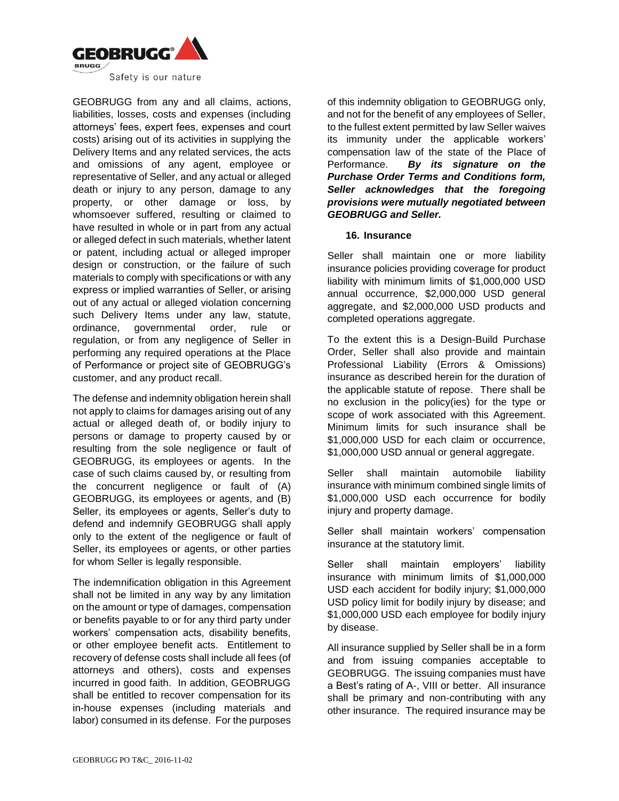

GEOBRUGG from any and all claims, actions, liabilities, losses, costs and expenses (including attorneys' fees, expert fees, expenses and court costs) arising out of its activities in supplying the Delivery Items and any related services, the acts and omissions of any agent, employee or representative of Seller, and any actual or alleged death or injury to any person, damage to any property, or other damage or loss, by whomsoever suffered, resulting or claimed to have resulted in whole or in part from any actual or alleged defect in such materials, whether latent or patent, including actual or alleged improper design or construction, or the failure of such materials to comply with specifications or with any express or implied warranties of Seller, or arising out of any actual or alleged violation concerning such Delivery Items under any law, statute, ordinance, governmental order, rule or regulation, or from any negligence of Seller in performing any required operations at the Place of Performance or project site of GEOBRUGG's customer, and any product recall.

The defense and indemnity obligation herein shall not apply to claims for damages arising out of any actual or alleged death of, or bodily injury to persons or damage to property caused by or resulting from the sole negligence or fault of GEOBRUGG, its employees or agents. In the case of such claims caused by, or resulting from the concurrent negligence or fault of (A) GEOBRUGG, its employees or agents, and (B) Seller, its employees or agents, Seller's duty to defend and indemnify GEOBRUGG shall apply only to the extent of the negligence or fault of Seller, its employees or agents, or other parties for whom Seller is legally responsible.

The indemnification obligation in this Agreement shall not be limited in any way by any limitation on the amount or type of damages, compensation or benefits payable to or for any third party under workers' compensation acts, disability benefits, or other employee benefit acts. Entitlement to recovery of defense costs shall include all fees (of attorneys and others), costs and expenses incurred in good faith. In addition, GEOBRUGG shall be entitled to recover compensation for its in-house expenses (including materials and labor) consumed in its defense. For the purposes

of this indemnity obligation to GEOBRUGG only, and not for the benefit of any employees of Seller, to the fullest extent permitted by law Seller waives its immunity under the applicable workers' compensation law of the state of the Place of Performance. *By its signature on the Purchase Order Terms and Conditions form, Seller acknowledges that the foregoing provisions were mutually negotiated between GEOBRUGG and Seller.*

#### **16. Insurance**

Seller shall maintain one or more liability insurance policies providing coverage for product liability with minimum limits of \$1,000,000 USD annual occurrence, \$2,000,000 USD general aggregate, and \$2,000,000 USD products and completed operations aggregate.

To the extent this is a Design-Build Purchase Order, Seller shall also provide and maintain Professional Liability (Errors & Omissions) insurance as described herein for the duration of the applicable statute of repose. There shall be no exclusion in the policy(ies) for the type or scope of work associated with this Agreement. Minimum limits for such insurance shall be \$1,000,000 USD for each claim or occurrence, \$1,000,000 USD annual or general aggregate.

Seller shall maintain automobile liability insurance with minimum combined single limits of \$1,000,000 USD each occurrence for bodily injury and property damage.

Seller shall maintain workers' compensation insurance at the statutory limit.

Seller shall maintain employers' liability insurance with minimum limits of \$1,000,000 USD each accident for bodily injury; \$1,000,000 USD policy limit for bodily injury by disease; and \$1,000,000 USD each employee for bodily injury by disease.

All insurance supplied by Seller shall be in a form and from issuing companies acceptable to GEOBRUGG. The issuing companies must have a Best's rating of A-, VIII or better. All insurance shall be primary and non-contributing with any other insurance. The required insurance may be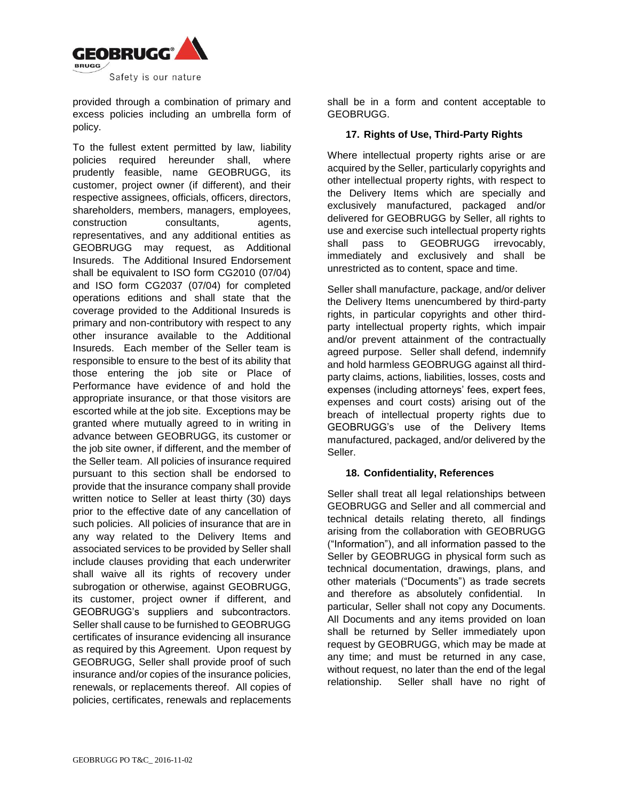

provided through a combination of primary and excess policies including an umbrella form of policy.

To the fullest extent permitted by law, liability policies required hereunder shall, where prudently feasible, name GEOBRUGG, its customer, project owner (if different), and their respective assignees, officials, officers, directors, shareholders, members, managers, employees, construction consultants, agents, representatives, and any additional entities as GEOBRUGG may request, as Additional Insureds. The Additional Insured Endorsement shall be equivalent to ISO form CG2010 (07/04) and ISO form CG2037 (07/04) for completed operations editions and shall state that the coverage provided to the Additional Insureds is primary and non-contributory with respect to any other insurance available to the Additional Insureds. Each member of the Seller team is responsible to ensure to the best of its ability that those entering the job site or Place of Performance have evidence of and hold the appropriate insurance, or that those visitors are escorted while at the job site. Exceptions may be granted where mutually agreed to in writing in advance between GEOBRUGG, its customer or the job site owner, if different, and the member of the Seller team. All policies of insurance required pursuant to this section shall be endorsed to provide that the insurance company shall provide written notice to Seller at least thirty (30) days prior to the effective date of any cancellation of such policies. All policies of insurance that are in any way related to the Delivery Items and associated services to be provided by Seller shall include clauses providing that each underwriter shall waive all its rights of recovery under subrogation or otherwise, against GEOBRUGG, its customer, project owner if different, and GEOBRUGG's suppliers and subcontractors. Seller shall cause to be furnished to GEOBRUGG certificates of insurance evidencing all insurance as required by this Agreement. Upon request by GEOBRUGG, Seller shall provide proof of such insurance and/or copies of the insurance policies, renewals, or replacements thereof. All copies of policies, certificates, renewals and replacements

shall be in a form and content acceptable to GEOBRUGG.

## **17. Rights of Use, Third-Party Rights**

Where intellectual property rights arise or are acquired by the Seller, particularly copyrights and other intellectual property rights, with respect to the Delivery Items which are specially and exclusively manufactured, packaged and/or delivered for GEOBRUGG by Seller, all rights to use and exercise such intellectual property rights shall pass to GEOBRUGG irrevocably, immediately and exclusively and shall be unrestricted as to content, space and time.

Seller shall manufacture, package, and/or deliver the Delivery Items unencumbered by third-party rights, in particular copyrights and other thirdparty intellectual property rights, which impair and/or prevent attainment of the contractually agreed purpose. Seller shall defend, indemnify and hold harmless GEOBRUGG against all thirdparty claims, actions, liabilities, losses, costs and expenses (including attorneys' fees, expert fees, expenses and court costs) arising out of the breach of intellectual property rights due to GEOBRUGG's use of the Delivery Items manufactured, packaged, and/or delivered by the Seller.

# **18. Confidentiality, References**

Seller shall treat all legal relationships between GEOBRUGG and Seller and all commercial and technical details relating thereto, all findings arising from the collaboration with GEOBRUGG ("Information"), and all information passed to the Seller by GEOBRUGG in physical form such as technical documentation, drawings, plans, and other materials ("Documents") as trade secrets and therefore as absolutely confidential. In particular, Seller shall not copy any Documents. All Documents and any items provided on loan shall be returned by Seller immediately upon request by GEOBRUGG, which may be made at any time; and must be returned in any case, without request, no later than the end of the legal relationship. Seller shall have no right of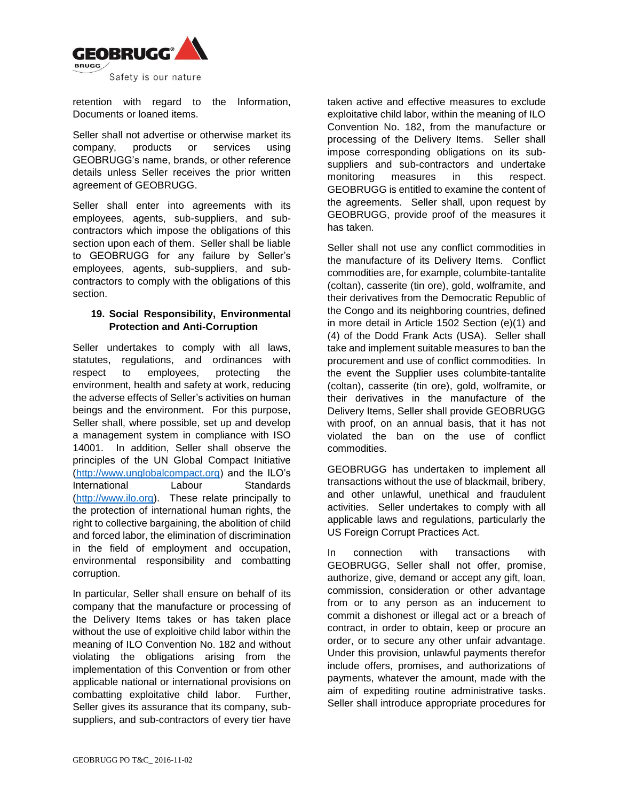

retention with regard to the Information, Documents or loaned items.

Seller shall not advertise or otherwise market its company, products or services using GEOBRUGG's name, brands, or other reference details unless Seller receives the prior written agreement of GEOBRUGG.

Seller shall enter into agreements with its employees, agents, sub-suppliers, and subcontractors which impose the obligations of this section upon each of them. Seller shall be liable to GEOBRUGG for any failure by Seller's employees, agents, sub-suppliers, and subcontractors to comply with the obligations of this section.

## **19. Social Responsibility, Environmental Protection and Anti-Corruption**

Seller undertakes to comply with all laws, statutes, regulations, and ordinances with respect to employees, protecting the environment, health and safety at work, reducing the adverse effects of Seller's activities on human beings and the environment. For this purpose, Seller shall, where possible, set up and develop a management system in compliance with ISO 14001. In addition, Seller shall observe the principles of the UN Global Compact Initiative [\(http://www.unglobalcompact.org\)](http://www.unglobalcompact.org/) and the ILO's International Labour Standards [\(http://www.ilo.org\)](http://www.ilo.org/). These relate principally to the protection of international human rights, the right to collective bargaining, the abolition of child and forced labor, the elimination of discrimination in the field of employment and occupation, environmental responsibility and combatting corruption.

In particular, Seller shall ensure on behalf of its company that the manufacture or processing of the Delivery Items takes or has taken place without the use of exploitive child labor within the meaning of ILO Convention No. 182 and without violating the obligations arising from the implementation of this Convention or from other applicable national or international provisions on combatting exploitative child labor. Further, Seller gives its assurance that its company, subsuppliers, and sub-contractors of every tier have

taken active and effective measures to exclude exploitative child labor, within the meaning of ILO Convention No. 182, from the manufacture or processing of the Delivery Items. Seller shall impose corresponding obligations on its subsuppliers and sub-contractors and undertake monitoring measures in this respect. GEOBRUGG is entitled to examine the content of the agreements. Seller shall, upon request by GEOBRUGG, provide proof of the measures it has taken.

Seller shall not use any conflict commodities in the manufacture of its Delivery Items. Conflict commodities are, for example, columbite-tantalite (coltan), casserite (tin ore), gold, wolframite, and their derivatives from the Democratic Republic of the Congo and its neighboring countries, defined in more detail in Article 1502 Section (e)(1) and (4) of the Dodd Frank Acts (USA). Seller shall take and implement suitable measures to ban the procurement and use of conflict commodities. In the event the Supplier uses columbite-tantalite (coltan), casserite (tin ore), gold, wolframite, or their derivatives in the manufacture of the Delivery Items, Seller shall provide GEOBRUGG with proof, on an annual basis, that it has not violated the ban on the use of conflict commodities.

GEOBRUGG has undertaken to implement all transactions without the use of blackmail, bribery, and other unlawful, unethical and fraudulent activities. Seller undertakes to comply with all applicable laws and regulations, particularly the US Foreign Corrupt Practices Act.

In connection with transactions with GEOBRUGG, Seller shall not offer, promise, authorize, give, demand or accept any gift, loan, commission, consideration or other advantage from or to any person as an inducement to commit a dishonest or illegal act or a breach of contract, in order to obtain, keep or procure an order, or to secure any other unfair advantage. Under this provision, unlawful payments therefor include offers, promises, and authorizations of payments, whatever the amount, made with the aim of expediting routine administrative tasks. Seller shall introduce appropriate procedures for